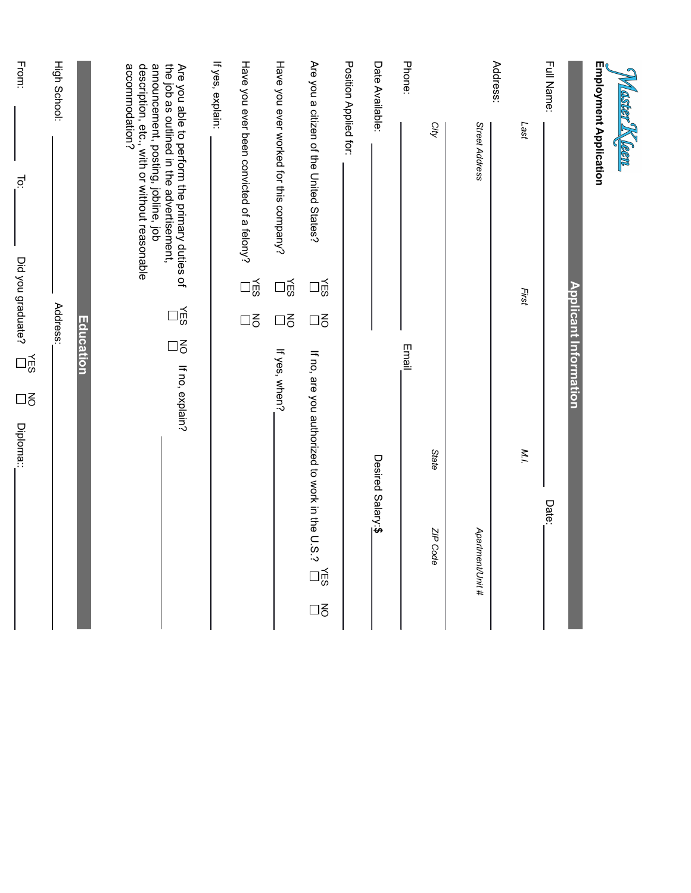| Master Kleen           |                                                                                                                                                                                                      |                              |           |                                                                        |
|------------------------|------------------------------------------------------------------------------------------------------------------------------------------------------------------------------------------------------|------------------------------|-----------|------------------------------------------------------------------------|
| Employment Application |                                                                                                                                                                                                      |                              |           |                                                                        |
|                        |                                                                                                                                                                                                      |                              |           | <b>Applicant Information</b>                                           |
| Full Name:             |                                                                                                                                                                                                      |                              |           | Date:                                                                  |
|                        | Last                                                                                                                                                                                                 | First                        |           | M.l.                                                                   |
| Address:               | Street Address                                                                                                                                                                                       |                              |           | Apartment/Unit #                                                       |
|                        | City                                                                                                                                                                                                 |                              |           | <b>State</b><br>ZIP Code                                               |
| Phone:                 |                                                                                                                                                                                                      |                              |           | Email                                                                  |
| Date Available:        |                                                                                                                                                                                                      |                              |           | Desired Salary:\$                                                      |
| Position Applied for:  |                                                                                                                                                                                                      |                              |           |                                                                        |
|                        | Are you a citizen of the United States?                                                                                                                                                              | $\frac{1}{5}$                | $\square$ | If no, are you authorized to work in the U.S.?<br>ng<br>⊡<br>$\square$ |
|                        | Have you ever worked for this company?                                                                                                                                                               | $\exists \tilde{\mathbb{E}}$ | $\square$ | If yes, when?                                                          |
|                        | Have you ever been convicted of a felony?                                                                                                                                                            | 다.<br>미                      | $\square$ |                                                                        |
| If yes, explain:       |                                                                                                                                                                                                      |                              |           |                                                                        |
|                        | announcement, posting, jobline, job<br>description, etc., with or without reasonable<br>accommodation?<br>the job as outlined in the advertisement,<br>Are you able to perform the primary duties of |                              | 다.<br>이주  | $\square$<br>If no, explain?                                           |
|                        |                                                                                                                                                                                                      |                              |           | Education                                                              |
| High School:           |                                                                                                                                                                                                      |                              | Address:  |                                                                        |
| From:                  | ā                                                                                                                                                                                                    | Did you graduate?            |           | 인<br>인<br>$\square$<br>Diploma:                                        |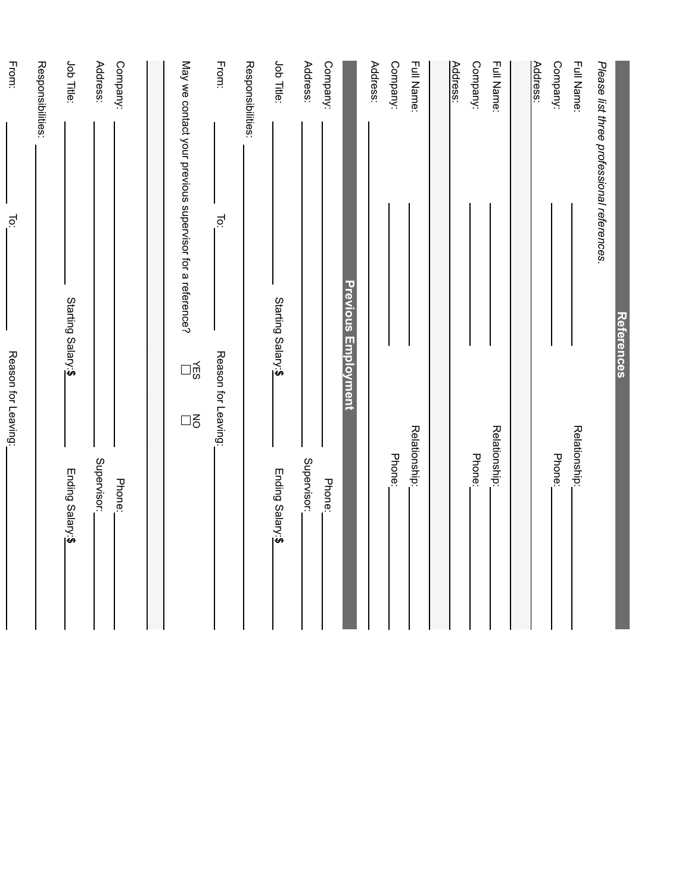|                                                          | References                   |                       |
|----------------------------------------------------------|------------------------------|-----------------------|
| Please list three professional references.               |                              |                       |
| Full Name:                                               |                              | Relationship:         |
| Company:                                                 |                              | Phone:                |
| Address:                                                 |                              |                       |
|                                                          |                              |                       |
| Full Name:                                               |                              | Relationship:         |
| Company:                                                 |                              | Phone:                |
| Address:                                                 |                              |                       |
|                                                          |                              |                       |
| Full Name:                                               |                              | Relationship:         |
| Company:                                                 |                              | Phone:                |
| Address:                                                 |                              |                       |
|                                                          | <b>Previous Employment</b>   |                       |
| Company:                                                 |                              | Phone:                |
| Address:                                                 |                              | Supervisor:           |
| Job Title:                                               | Starting Salary:\$           | Ending Salary:\$      |
| Responsibilities:                                        |                              |                       |
| From:                                                    | io.<br>Reason for Leaving:   |                       |
| May we contact your previous supervisor for a reference? | $\exists \tilde{\mathbb{E}}$ | $\square$             |
|                                                          |                              |                       |
| Address:<br>Company:                                     |                              | Supervisor:<br>Phone: |
| Job Title:                                               | Starting Salary:\$           | Ending Salary:\$      |
| Responsibilities:                                        |                              |                       |
| From:                                                    | Ĕ<br>Reason for Leaving:     |                       |